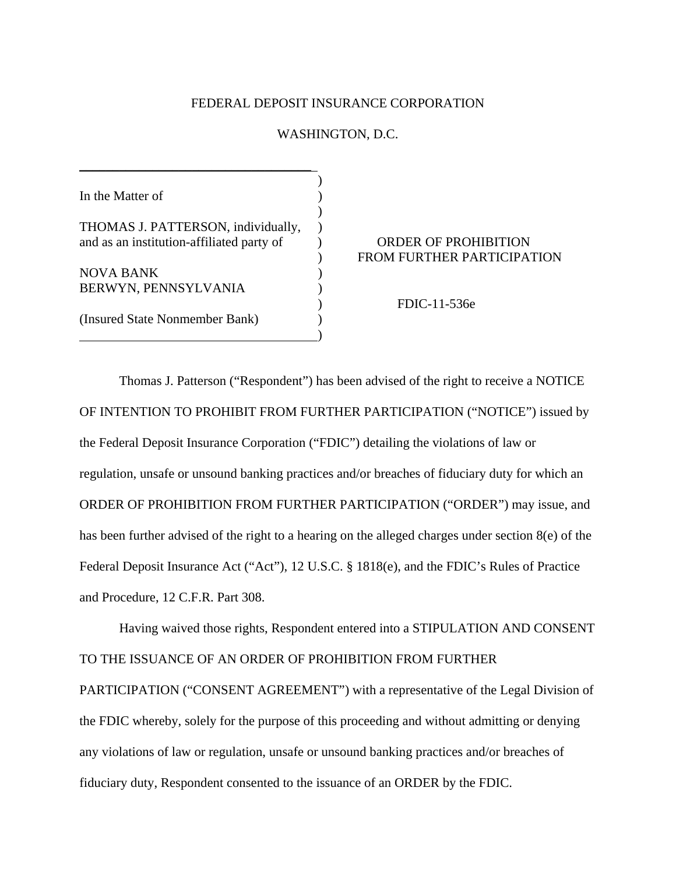## FEDERAL DEPOSIT INSURANCE CORPORATION

## WASHINGTON, D.C.

) In the Matter of  $\qquad \qquad$  )  $)$ THOMAS J. PATTERSON, individually, ) and as an institution-affiliated party of ) ORDER OF PROHIBITION NOVA BANK ) BERWYN, PENNSYLVANIA (1988) (Insured State Nonmember Bank) )  $\hspace{1.5cm}$ ) and  $\hspace{1.5cm}$  and  $\hspace{1.5cm}$  and  $\hspace{1.5cm}$ 

\_\_\_\_\_\_\_\_\_\_\_\_\_\_\_\_\_\_\_\_\_\_\_\_\_\_\_\_\_\_\_\_\_\_\_

## ) FROM FURTHER PARTICIPATION

) FDIC-11-536e

Thomas J. Patterson ("Respondent") has been advised of the right to receive a NOTICE OF INTENTION TO PROHIBIT FROM FURTHER PARTICIPATION ("NOTICE") issued by the Federal Deposit Insurance Corporation ("FDIC") detailing the violations of law or regulation, unsafe or unsound banking practices and/or breaches of fiduciary duty for which an ORDER OF PROHIBITION FROM FURTHER PARTICIPATION ("ORDER") may issue, and has been further advised of the right to a hearing on the alleged charges under section 8(e) of the Federal Deposit Insurance Act ("Act"), 12 U.S.C. § 1818(e), and the FDIC's Rules of Practice and Procedure, 12 C.F.R. Part 308.

Having waived those rights, Respondent entered into a STIPULATION AND CONSENT TO THE ISSUANCE OF AN ORDER OF PROHIBITION FROM FURTHER

PARTICIPATION ("CONSENT AGREEMENT") with a representative of the Legal Division of the FDIC whereby, solely for the purpose of this proceeding and without admitting or denying any violations of law or regulation, unsafe or unsound banking practices and/or breaches of fiduciary duty, Respondent consented to the issuance of an ORDER by the FDIC.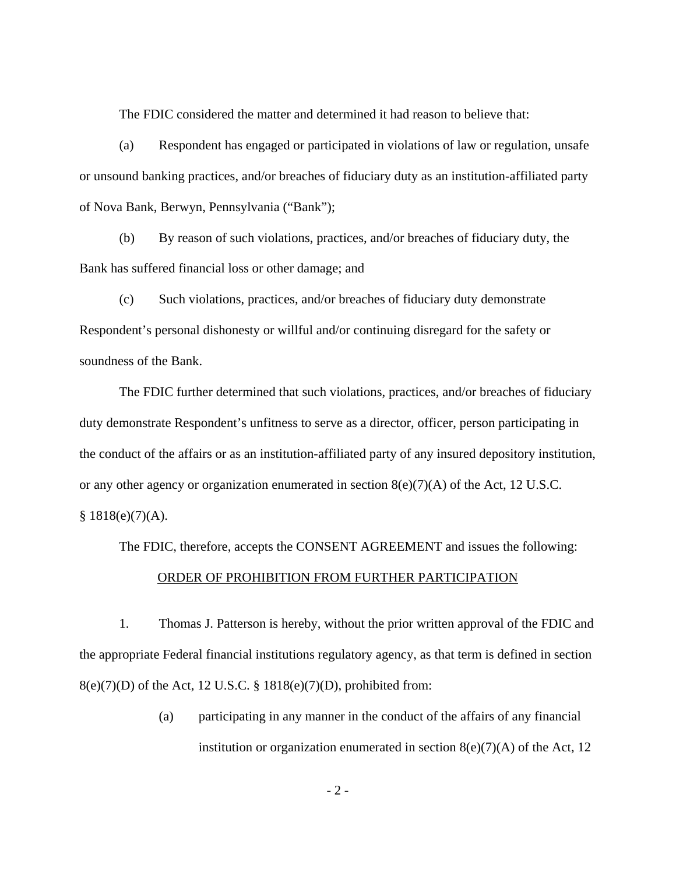The FDIC considered the matter and determined it had reason to believe that:

(a) Respondent has engaged or participated in violations of law or regulation, unsafe or unsound banking practices, and/or breaches of fiduciary duty as an institution-affiliated party of Nova Bank, Berwyn, Pennsylvania ("Bank");

(b) By reason of such violations, practices, and/or breaches of fiduciary duty, the Bank has suffered financial loss or other damage; and

(c) Such violations, practices, and/or breaches of fiduciary duty demonstrate Respondent's personal dishonesty or willful and/or continuing disregard for the safety or soundness of the Bank.

The FDIC further determined that such violations, practices, and/or breaches of fiduciary duty demonstrate Respondent's unfitness to serve as a director, officer, person participating in the conduct of the affairs or as an institution-affiliated party of any insured depository institution, or any other agency or organization enumerated in section  $8(e)(7)(A)$  of the Act, 12 U.S.C.  $§ 1818(e)(7)(A).$ 

## The FDIC, therefore, accepts the CONSENT AGREEMENT and issues the following: ORDER OF PROHIBITION FROM FURTHER PARTICIPATION

1. Thomas J. Patterson is hereby, without the prior written approval of the FDIC and the appropriate Federal financial institutions regulatory agency, as that term is defined in section 8(e)(7)(D) of the Act, 12 U.S.C. § 1818(e)(7)(D), prohibited from:

> (a) participating in any manner in the conduct of the affairs of any financial institution or organization enumerated in section  $8(e)(7)(A)$  of the Act, 12

> > $-2-$